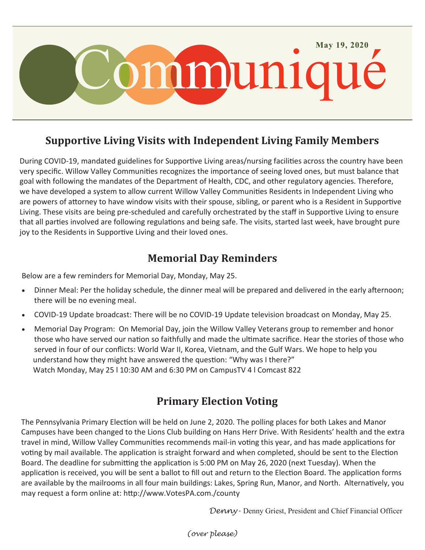

### **Supportive Living Visits with Independent Living Family Members**

During COVID-19, mandated guidelines for Supportive Living areas/nursing facilities across the country have been very specific. Willow Valley Communities recognizes the importance of seeing loved ones, but must balance that goal with following the mandates of the Department of Health, CDC, and other regulatory agencies. Therefore, we have developed a system to allow current Willow Valley Communities Residents in Independent Living who are powers of attorney to have window visits with their spouse, sibling, or parent who is a Resident in Supportive Living. These visits are being pre-scheduled and carefully orchestrated by the staff in Supportive Living to ensure that all parties involved are following regulations and being safe. The visits, started last week, have brought pure joy to the Residents in Supportive Living and their loved ones.

## **Memorial Day Reminders**

Below are a few reminders for Memorial Day, Monday, May 25.

- Dinner Meal: Per the holiday schedule, the dinner meal will be prepared and delivered in the early afternoon; there will be no evening meal.
- COVID-19 Update broadcast: There will be no COVID-19 Update television broadcast on Monday, May 25.
- Memorial Day Program: On Memorial Day, join the Willow Valley Veterans group to remember and honor those who have served our nation so faithfully and made the ultimate sacrifice. Hear the stories of those who served in four of our conflicts: World War II, Korea, Vietnam, and the Gulf Wars. We hope to help you understand how they might have answered the question: "Why was I there?" Watch Monday, May 25 l 10:30 AM and 6:30 PM on CampusTV 4 l Comcast 822

### **Primary Election Voting**

The Pennsylvania Primary Election will be held on June 2, 2020. The polling places for both Lakes and Manor Campuses have been changed to the Lions Club building on Hans Herr Drive. With Residents' health and the extra travel in mind, Willow Valley Communities recommends mail-in voting this year, and has made applications for voting by mail available. The application is straight forward and when completed, should be sent to the Election Board. The deadline for submitting the application is 5:00 PM on May 26, 2020 (next Tuesday). When the application is received, you will be sent a ballot to fill out and return to the Election Board. The application forms are available by the mailrooms in all four main buildings: Lakes, Spring Run, Manor, and North. Alternatively, you may request a form online at: http://www.VotesPA.com./county

*Denny-* Denny Griest, President and Chief Financial Officer

*(over please)*